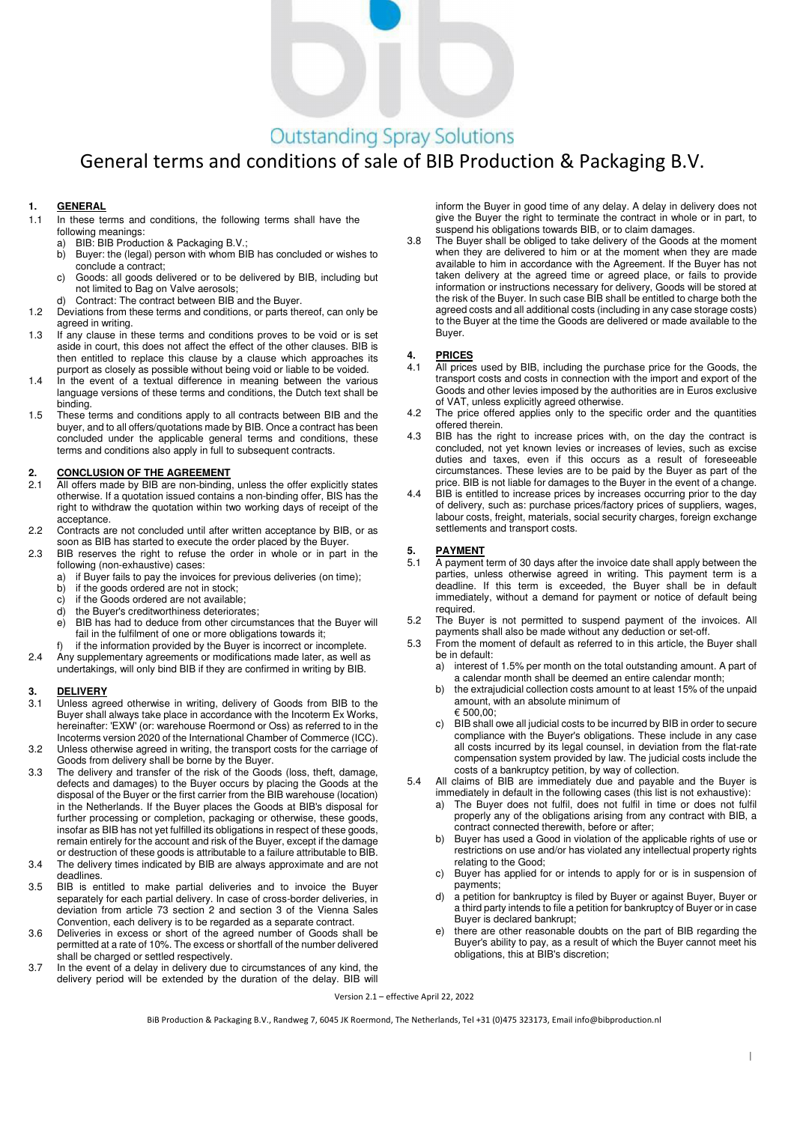# **Outstanding Spray Solutions**

## General terms and conditions of sale of BIB Production & Packaging B.V.

### **1. GENERAL**

- 1.1 In these terms and conditions, the following terms shall have the following meanings:
	- a) BIB: BIB Production & Packaging B.V.<br>b) Buver: the (legal) person with whom B
	- Buyer: the (legal) person with whom BIB has concluded or wishes to conclude a contract;
	- c) Goods: all goods delivered or to be delivered by BIB, including but not limited to Bag on Valve aerosols;
		- d) Contract: The contract between BIB and the Buyer.
- 1.2 Deviations from these terms and conditions, or parts thereof, can only be agreed in writing.
- 1.3 If any clause in these terms and conditions proves to be void or is set aside in court, this does not affect the effect of the other clauses. BIB is then entitled to replace this clause by a clause which approaches its purport as closely as possible without being void or liable to be voided.
- In the event of a textual difference in meaning between the various language versions of these terms and conditions, the Dutch text shall be binding.
- 1.5 These terms and conditions apply to all contracts between BIB and the buyer, and to all offers/quotations made by BIB. Once a contract has been concluded under the applicable general terms and conditions, these terms and conditions also apply in full to subsequent contracts.

#### **2. CONCLUSION OF THE AGREEMENT**

- 2.1 All offers made by BIB are non-binding, unless the offer explicitly states otherwise. If a quotation issued contains a non-binding offer, BIS has the right to withdraw the quotation within two working days of receipt of the acceptance.
- 2.2 Contracts are not concluded until after written acceptance by BIB, or as soon as BIB has started to execute the order placed by the Buyer.
- 2.3 BIB reserves the right to refuse the order in whole or in part in the following (non-exhaustive) cases:<br>a) if Buver fails to pay the invoice
	- if Buyer fails to pay the invoices for previous deliveries (on time);
	- b) if the goods ordered are not in stock;
	- c) if the Goods ordered are not available;
	- d) the Buyer's creditworthiness deteriorates;
	- e) BIB has had to deduce from other circumstances that the Buyer will fail in the fulfilment of one or more obligations towards it;
	- f) if the information provided by the Buyer is incorrect or incomplete.
- 2.4 Any supplementary agreements or modifications made later, as well as undertakings, will only bind BIB if they are confirmed in writing by BIB.

#### **3. DELIVERY**

- 3.1 Unless agreed otherwise in writing, delivery of Goods from BIB to the Buyer shall always take place in accordance with the Incoterm Ex Works, hereinafter: 'EXW' (or: warehouse Roermond or Oss) as referred to in the Incoterms version 2020 of the International Chamber of Commerce (ICC).
- 3.2 Unless otherwise agreed in writing, the transport costs for the carriage of Goods from delivery shall be borne by the Buyer.
- 3.3 The delivery and transfer of the risk of the Goods (loss, theft, damage, defects and damages) to the Buyer occurs by placing the Goods at the disposal of the Buyer or the first carrier from the BIB warehouse (location) in the Netherlands. If the Buyer places the Goods at BIB's disposal for further processing or completion, packaging or otherwise, these goods, insofar as BIB has not yet fulfilled its obligations in respect of these goods, remain entirely for the account and risk of the Buyer, except if the damage or destruction of these goods is attributable to a failure attributable to BIB.
- 3.4 The delivery times indicated by BIB are always approximate and are not deadlines.
- 3.5 BIB is entitled to make partial deliveries and to invoice the Buyer separately for each partial delivery. In case of cross-border deliveries, in deviation from article 73 section 2 and section 3 of the Vienna Sales Convention, each delivery is to be regarded as a separate contract.
- 3.6 Deliveries in excess or short of the agreed number of Goods shall be permitted at a rate of 10%. The excess or shortfall of the number delivered shall be charged or settled respectively.
- 3.7 In the event of a delay in delivery due to circumstances of any kind, the delivery period will be extended by the duration of the delay. BIB will

inform the Buyer in good time of any delay. A delay in delivery does not give the Buyer the right to terminate the contract in whole or in part, to suspend his obligations towards BIB, or to claim damages.

3.8 The Buyer shall be obliged to take delivery of the Goods at the moment when they are delivered to him or at the moment when they are made available to him in accordance with the Agreement. If the Buyer has not taken delivery at the agreed time or agreed place, or fails to provide information or instructions necessary for delivery, Goods will be stored at the risk of the Buyer. In such case BIB shall be entitled to charge both the agreed costs and all additional costs (including in any case storage costs) to the Buyer at the time the Goods are delivered or made available to the Buyer.

### **4. PRICES**

- 4.1 All prices used by BIB, including the purchase price for the Goods, the transport costs and costs in connection with the import and export of the Goods and other levies imposed by the authorities are in Euros exclusive of VAT, unless explicitly agreed otherwise.
- 4.2 The price offered applies only to the specific order and the quantities offered therein.
- 4.3 BIB has the right to increase prices with, on the day the contract is concluded, not yet known levies or increases of levies, such as excise duties and taxes, even if this occurs as a result of foreseeable circumstances. These levies are to be paid by the Buyer as part of the price. BIB is not liable for damages to the Buyer in the event of a change.
- 4.4 BIB is entitled to increase prices by increases occurring prior to the day of delivery, such as: purchase prices/factory prices of suppliers, wages, labour costs, freight, materials, social security charges, foreign exchange settlements and transport costs.

## **5. PAYMENT**

- 5.1 A payment term of 30 days after the invoice date shall apply between the parties, unless otherwise agreed in writing. This payment term is a deadline. If this term is exceeded, the Buyer shall be in default immediately, without a demand for payment or notice of default being required.
- 5.2 The Buyer is not permitted to suspend payment of the invoices. All payments shall also be made without any deduction or set-off.
- 5.3 From the moment of default as referred to in this article, the Buyer shall be in default:
	- a) interest of 1.5% per month on the total outstanding amount. A part of a calendar month shall be deemed an entire calendar month;
	- b) the extrajudicial collection costs amount to at least 15% of the unpaid amount, with an absolute minimum of  $€500,00$
	- c) BIB shall owe all judicial costs to be incurred by BIB in order to secure compliance with the Buyer's obligations. These include in any case all costs incurred by its legal counsel, in deviation from the flat-rate compensation system provided by law. The judicial costs include the costs of a bankruptcy petition, by way of collection.
- 5.4 All claims of BIB are immediately due and payable and the Buyer is
	- immediately in default in the following cases (this list is not exhaustive): a) The Buyer does not fulfil, does not fulfil in time or does not fulfil
		- properly any of the obligations arising from any contract with BIB, a contract connected therewith, before or after;
		- b) Buyer has used a Good in violation of the applicable rights of use or restrictions on use and/or has violated any intellectual property rights relating to the Good;
		- c) Buyer has applied for or intends to apply for or is in suspension of payments;
		- d) a petition for bankruptcy is filed by Buyer or against Buyer, Buyer or a third party intends to file a petition for bankruptcy of Buyer or in case Buyer is declared bankrupt;
		- e) there are other reasonable doubts on the part of BIB regarding the Buyer's ability to pay, as a result of which the Buyer cannot meet his obligations, this at BIB's discretion;

Version 2.1 – effective April 22, 2022

BiB Production & Packaging B.V., Randweg 7, 6045 JK Roermond, The Netherlands, Tel +31 (0)475 323173, Email info@bibproduction.nl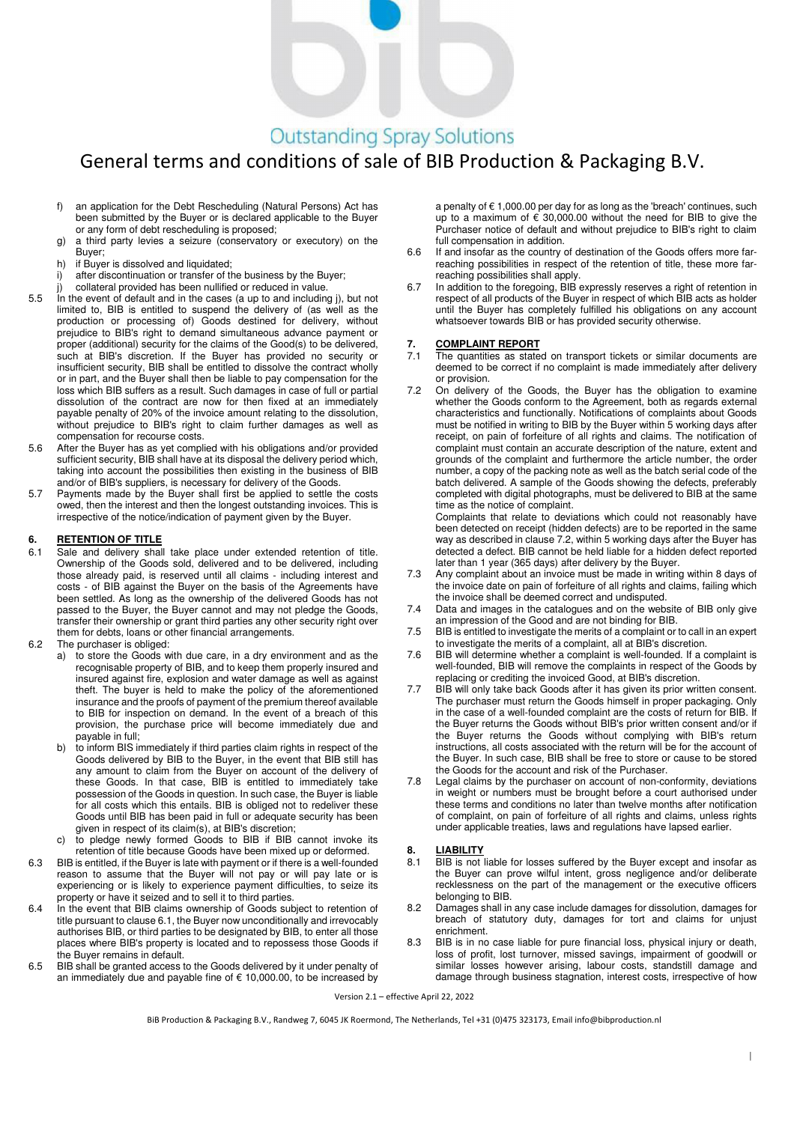# **Outstanding Spray Solutions**

## General terms and conditions of sale of BIB Production & Packaging B.V.

- f) an application for the Debt Rescheduling (Natural Persons) Act has been submitted by the Buyer or is declared applicable to the Buyer or any form of debt rescheduling is proposed;
- g) a third party levies a seizure (conservatory or executory) on the Buyer;
- h) if Buyer is dissolved and liquidated;
- i) after discontinuation or transfer of the business by the Buyer;
- collateral provided has been nullified or reduced in value.
- 5.5 In the event of default and in the cases (a up to and including j), but not limited to, BIB is entitled to suspend the delivery of (as well as the production or processing of) Goods destined for delivery, without prejudice to BIB's right to demand simultaneous advance payment or proper (additional) security for the claims of the Good(s) to be delivered, such at BIB's discretion. If the Buyer has provided no security or insufficient security, BIB shall be entitled to dissolve the contract wholly or in part, and the Buyer shall then be liable to pay compensation for the loss which BIB suffers as a result. Such damages in case of full or partial dissolution of the contract are now for then fixed at an immediately payable penalty of 20% of the invoice amount relating to the dissolution, without prejudice to BIB's right to claim further damages as well as compensation for recourse costs.
- 5.6 After the Buyer has as yet complied with his obligations and/or provided sufficient security, BIB shall have at its disposal the delivery period which, taking into account the possibilities then existing in the business of BIB and/or of BIB's suppliers, is necessary for delivery of the Goods.
- 5.7 Payments made by the Buyer shall first be applied to settle the costs owed, then the interest and then the longest outstanding invoices. This is irrespective of the notice/indication of payment given by the Buyer.

#### **6. RETENTION OF TITLE**

- 6.1 Sale and delivery shall take place under extended retention of title. Ownership of the Goods sold, delivered and to be delivered, including those already paid, is reserved until all claims - including interest and costs - of BIB against the Buyer on the basis of the Agreements have been settled. As long as the ownership of the delivered Goods has not passed to the Buyer, the Buyer cannot and may not pledge the Goods, transfer their ownership or grant third parties any other security right over them for debts, loans or other financial arrangements.
- 6.2 The purchaser is obliged:
	- a) to store the Goods with due care, in a dry environment and as the recognisable property of BIB, and to keep them properly insured and insured against fire, explosion and water damage as well as against theft. The buyer is held to make the policy of the aforementioned insurance and the proofs of payment of the premium thereof available to BIB for inspection on demand. In the event of a breach of this provision, the purchase price will become immediately due and payable in full;
	- b) to inform BIS immediately if third parties claim rights in respect of the Goods delivered by BIB to the Buyer, in the event that BIB still has any amount to claim from the Buyer on account of the delivery of these Goods. In that case, BIB is entitled to immediately take possession of the Goods in question. In such case, the Buyer is liable for all costs which this entails. BIB is obliged not to redeliver these Goods until BIB has been paid in full or adequate security has been given in respect of its claim(s), at BIB's discretion;
	- c) to pledge newly formed Goods to BIB if BIB cannot invoke its retention of title because Goods have been mixed up or deformed.
- 6.3 BIB is entitled, if the Buyer is late with payment or if there is a well-founded reason to assume that the Buyer will not pay or will pay late or is experiencing or is likely to experience payment difficulties, to seize its property or have it seized and to sell it to third parties.
- 6.4 In the event that BIB claims ownership of Goods subject to retention of title pursuant to clause 6.1, the Buyer now unconditionally and irrevocably authorises BIB, or third parties to be designated by BIB, to enter all those places where BIB's property is located and to repossess those Goods if the Buyer remains in default.
- 6.5 BIB shall be granted access to the Goods delivered by it under penalty of an immediately due and payable fine of € 10,000.00, to be increased by

a penalty of € 1,000.00 per day for as long as the 'breach' continues, such up to a maximum of  $\epsilon$  30,000,00 without the need for BIB to give the Purchaser notice of default and without prejudice to BIB's right to claim full compensation in addition.

- 6.6 If and insofar as the country of destination of the Goods offers more farreaching possibilities in respect of the retention of title, these more farreaching possibilities shall apply.
- 6.7 In addition to the foregoing, BIB expressly reserves a right of retention in respect of all products of the Buyer in respect of which BIB acts as holder until the Buyer has completely fulfilled his obligations on any account whatsoever towards BIB or has provided security otherwise.

#### **7. COMPLAINT REPORT**

- The quantities as stated on transport tickets or similar documents are deemed to be correct if no complaint is made immediately after delivery or provision.
- 7.2 On delivery of the Goods, the Buyer has the obligation to examine whether the Goods conform to the Agreement, both as regards external characteristics and functionally. Notifications of complaints about Goods must be notified in writing to BIB by the Buyer within 5 working days after receipt, on pain of forfeiture of all rights and claims. The notification of complaint must contain an accurate description of the nature, extent and grounds of the complaint and furthermore the article number, the order number, a copy of the packing note as well as the batch serial code of the batch delivered. A sample of the Goods showing the defects, preferably completed with digital photographs, must be delivered to BIB at the same time as the notice of complaint.

Complaints that relate to deviations which could not reasonably have been detected on receipt (hidden defects) are to be reported in the same way as described in clause 7.2, within 5 working days after the Buyer has detected a defect. BIB cannot be held liable for a hidden defect reported later than 1 year (365 days) after delivery by the Buyer.

- 7.3 Any complaint about an invoice must be made in writing within 8 days of the invoice date on pain of forfeiture of all rights and claims, failing which the invoice shall be deemed correct and undisputed.
- 7.4 Data and images in the catalogues and on the website of BIB only give an impression of the Good and are not binding for BIB.
- 7.5 BIB is entitled to investigate the merits of a complaint or to call in an expert to investigate the merits of a complaint, all at BIB's discretion.
- 7.6 BIB will determine whether a complaint is well-founded. If a complaint is well-founded, BIB will remove the complaints in respect of the Goods by replacing or crediting the invoiced Good, at BIB's discretion.
- 7.7 BIB will only take back Goods after it has given its prior written consent. The purchaser must return the Goods himself in proper packaging. Only in the case of a well-founded complaint are the costs of return for BIB. If the Buyer returns the Goods without BIB's prior written consent and/or if the Buyer returns the Goods without complying with BIB's return instructions, all costs associated with the return will be for the account of the Buyer. In such case, BIB shall be free to store or cause to be stored the Goods for the account and risk of the Purchaser.
- 7.8 Legal claims by the purchaser on account of non-conformity, deviations in weight or numbers must be brought before a court authorised under these terms and conditions no later than twelve months after notification of complaint, on pain of forfeiture of all rights and claims, unless rights under applicable treaties, laws and regulations have lapsed earlier.

#### **8. LIABILITY**

- 8.1 BIB is not liable for losses suffered by the Buyer except and insofar as the Buyer can prove wilful intent, gross negligence and/or deliberate recklessness on the part of the management or the executive officers belonging to BIB.
- 8.2 Damages shall in any case include damages for dissolution, damages for breach of statutory duty, damages for tort and claims for unjust enrichment.
- 8.3 BIB is in no case liable for pure financial loss, physical injury or death, loss of profit, lost turnover, missed savings, impairment of goodwill or similar losses however arising, labour costs, standstill damage and damage through business stagnation, interest costs, irrespective of how

Version 2.1 – effective April 22, 2022

BiB Production & Packaging B.V., Randweg 7, 6045 JK Roermond, The Netherlands, Tel +31 (0)475 323173, Email info@bibproduction.nl